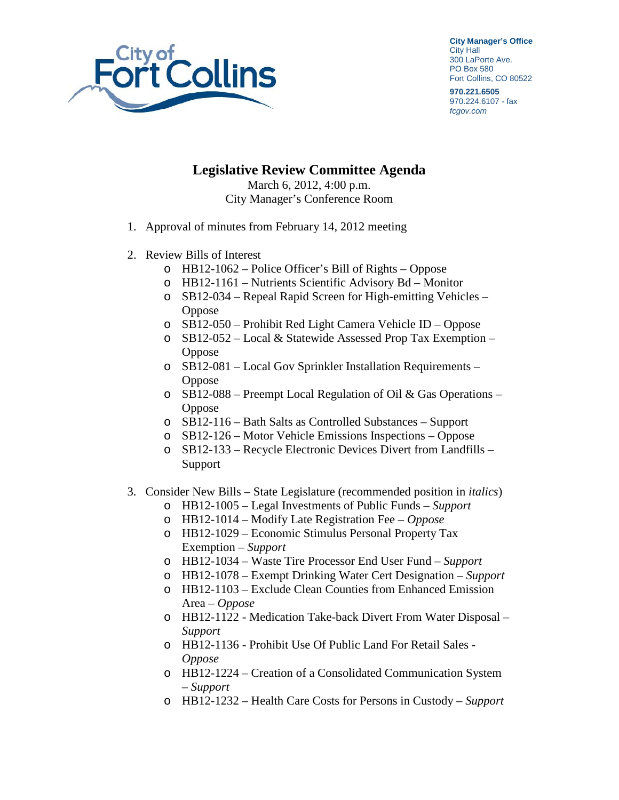

**City Manager's Office** City Hall 300 LaPorte Ave. PO Box 580 Fort Collins, CO 80522

**970.221.6505** 970.224.6107 - fax *fcgov.com*

## **Legislative Review Committee Agenda** March 6, 2012, 4:00 p.m.

City Manager's Conference Room

- 1. Approval of minutes from February 14, 2012 meeting
- 2. Review Bills of Interest
	- o HB12-1062 Police Officer's Bill of Rights Oppose
	- o HB12-1161 Nutrients Scientific Advisory Bd Monitor
	- o SB12-034 Repeal Rapid Screen for High-emitting Vehicles Oppose
	- o SB12-050 Prohibit Red Light Camera Vehicle ID Oppose
	- o SB12-052 Local & Statewide Assessed Prop Tax Exemption Oppose
	- o SB12-081 Local Gov Sprinkler Installation Requirements **Oppose**
	- o SB12-088 Preempt Local Regulation of Oil & Gas Operations **Oppose**
	- o SB12-116 Bath Salts as Controlled Substances Support
	- o SB12-126 Motor Vehicle Emissions Inspections Oppose
	- o SB12-133 Recycle Electronic Devices Divert from Landfills Support
- 3. Consider New Bills State Legislature (recommended position in *italics*)
	- o HB12-1005 Legal Investments of Public Funds *Support*
	- o HB12-1014 Modify Late Registration Fee *Oppose*
	- o HB12-1029 Economic Stimulus Personal Property Tax Exemption – *Support*
	- o HB12-1034 Waste Tire Processor End User Fund *Support*
	- o HB12-1078 Exempt Drinking Water Cert Designation *Support*
	- o HB12-1103 Exclude Clean Counties from Enhanced Emission Area – *Oppose*
	- o HB12-1122 Medication Take-back Divert From Water Disposal *Support*
	- o HB12-1136 Prohibit Use Of Public Land For Retail Sales *Oppose*
	- o HB12-1224 Creation of a Consolidated Communication System – *Support*
	- o HB12-1232 Health Care Costs for Persons in Custody *Support*